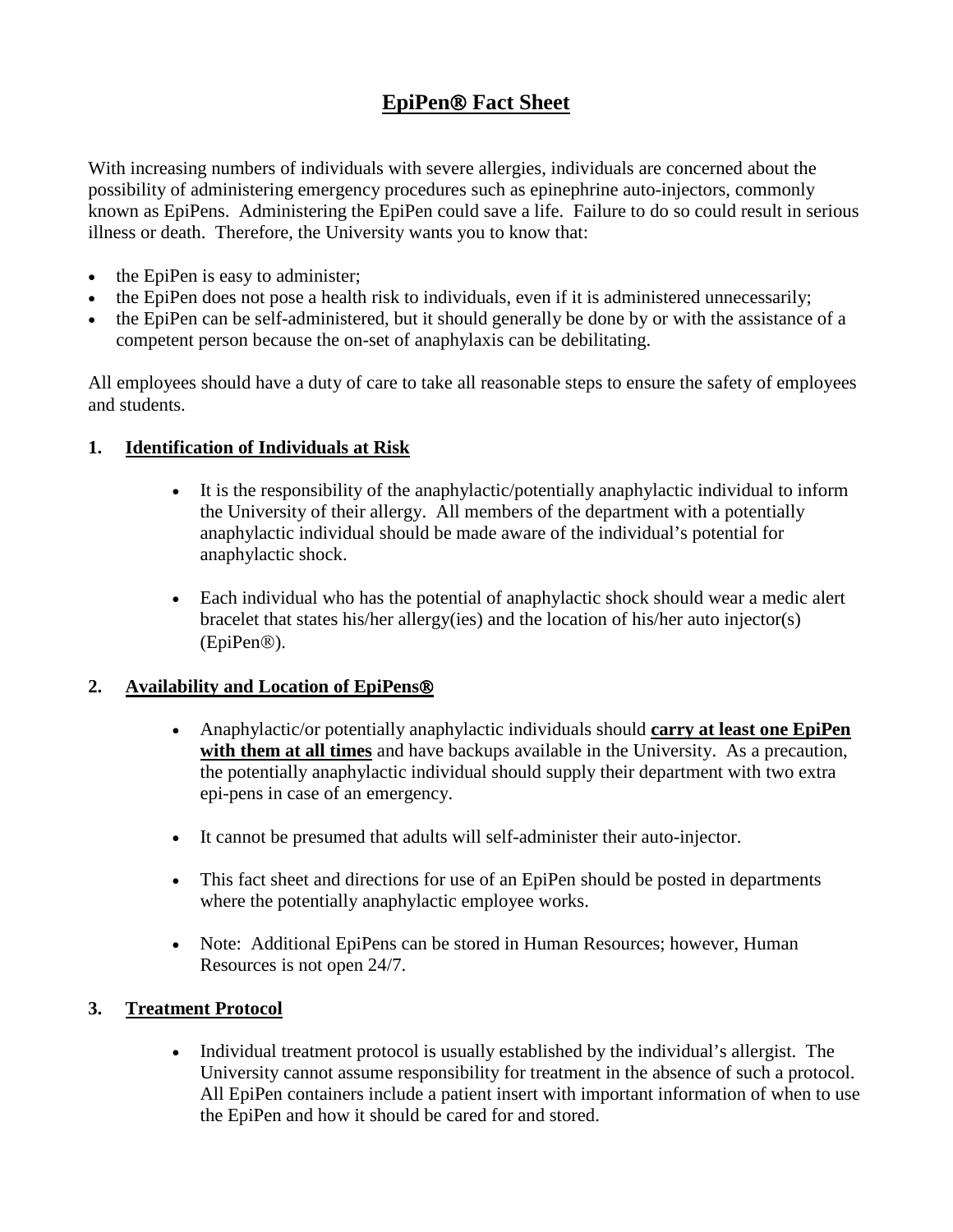# **EpiPen<sup>®</sup> Fact Sheet**

With increasing numbers of individuals with severe allergies, individuals are concerned about the possibility of administering emergency procedures such as epinephrine auto-injectors, commonly known as EpiPens. Administering the EpiPen could save a life. Failure to do so could result in serious illness or death. Therefore, the University wants you to know that:

- the EpiPen is easy to administer;
- the EpiPen does not pose a health risk to individuals, even if it is administered unnecessarily;
- the EpiPen can be self-administered, but it should generally be done by or with the assistance of a competent person because the on-set of anaphylaxis can be debilitating.

All employees should have a duty of care to take all reasonable steps to ensure the safety of employees and students.

### **1. Identification of Individuals at Risk**

- It is the responsibility of the anaphylactic/potentially anaphylactic individual to inform the University of their allergy. All members of the department with a potentially anaphylactic individual should be made aware of the individual's potential for anaphylactic shock.
- Each individual who has the potential of anaphylactic shock should wear a medic alert bracelet that states his/her allergy(ies) and the location of his/her auto injector(s) (EpiPen<sup>®</sup>).

# **2. Availability and Location of EpiPens**

- Anaphylactic/or potentially anaphylactic individuals should **carry at least one EpiPen with them at all times** and have backups available in the University. As a precaution, the potentially anaphylactic individual should supply their department with two extra epi-pens in case of an emergency.
- It cannot be presumed that adults will self-administer their auto-injector.
- This fact sheet and directions for use of an EpiPen should be posted in departments where the potentially anaphylactic employee works.
- Note: Additional EpiPens can be stored in Human Resources; however, Human Resources is not open 24/7.

# **3. Treatment Protocol**

• Individual treatment protocol is usually established by the individual's allergist. The University cannot assume responsibility for treatment in the absence of such a protocol. All EpiPen containers include a patient insert with important information of when to use the EpiPen and how it should be cared for and stored.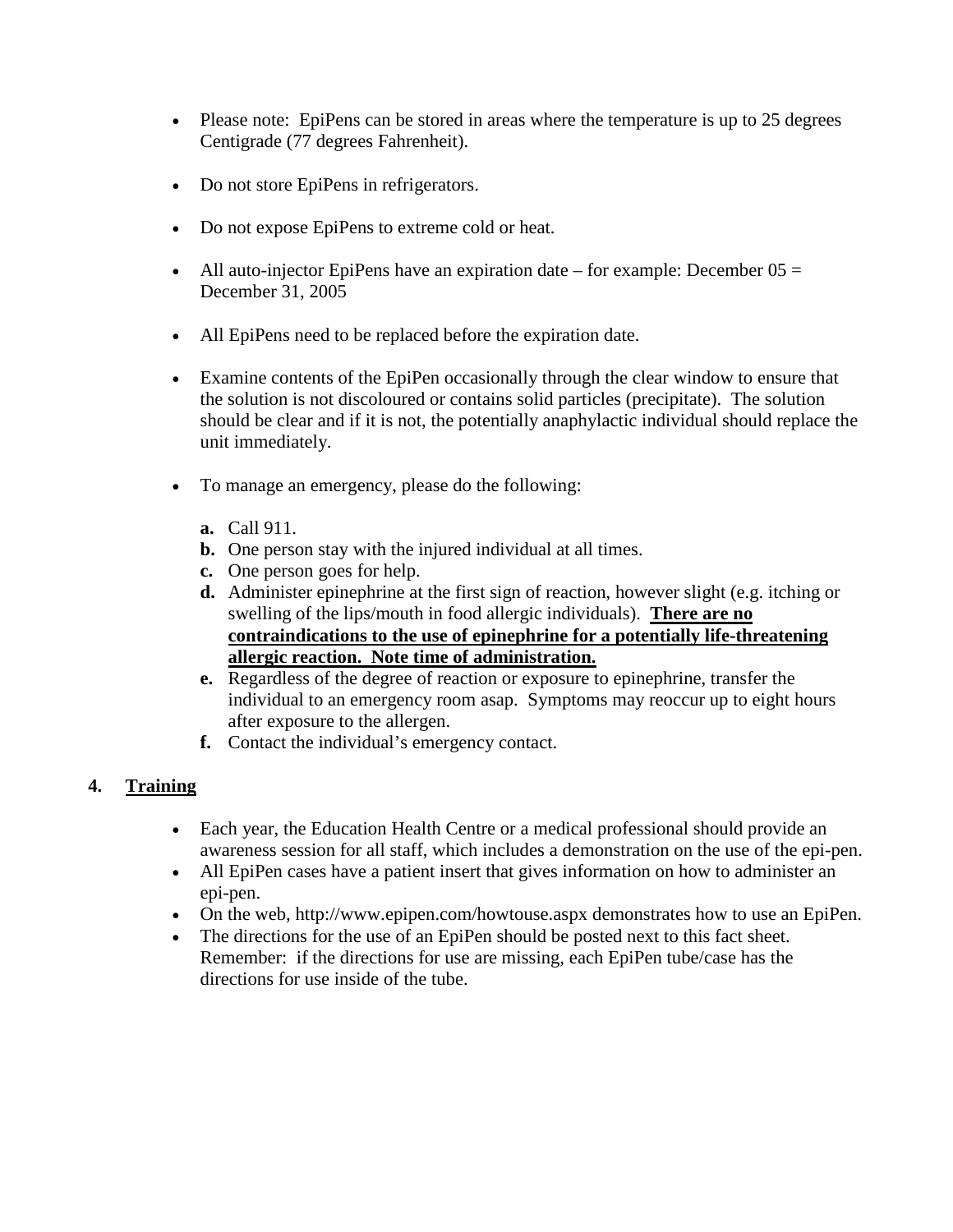- Please note: EpiPens can be stored in areas where the temperature is up to 25 degrees Centigrade (77 degrees Fahrenheit).
- Do not store EpiPens in refrigerators.
- Do not expose EpiPens to extreme cold or heat.
- All auto-injector EpiPens have an expiration date for example: December  $05 =$ December 31, 2005
- All EpiPens need to be replaced before the expiration date.
- Examine contents of the EpiPen occasionally through the clear window to ensure that the solution is not discoloured or contains solid particles (precipitate). The solution should be clear and if it is not, the potentially anaphylactic individual should replace the unit immediately.
- To manage an emergency, please do the following:
	- **a.** Call 911.
	- **b.** One person stay with the injured individual at all times.
	- **c.** One person goes for help.
	- **d.** Administer epinephrine at the first sign of reaction, however slight (e.g. itching or swelling of the lips/mouth in food allergic individuals). **There are no contraindications to the use of epinephrine for a potentially life-threatening allergic reaction. Note time of administration.**
	- **e.** Regardless of the degree of reaction or exposure to epinephrine, transfer the individual to an emergency room asap. Symptoms may reoccur up to eight hours after exposure to the allergen.
	- **f.** Contact the individual's emergency contact.

# **4. Training**

- Each year, the Education Health Centre or a medical professional should provide an awareness session for all staff, which includes a demonstration on the use of the epi-pen.
- All EpiPen cases have a patient insert that gives information on how to administer an epi-pen.
- On the web, http://www.epipen.com/howtouse.aspx demonstrates how to use an EpiPen.
- The directions for the use of an EpiPen should be posted next to this fact sheet. Remember: if the directions for use are missing, each EpiPen tube/case has the directions for use inside of the tube.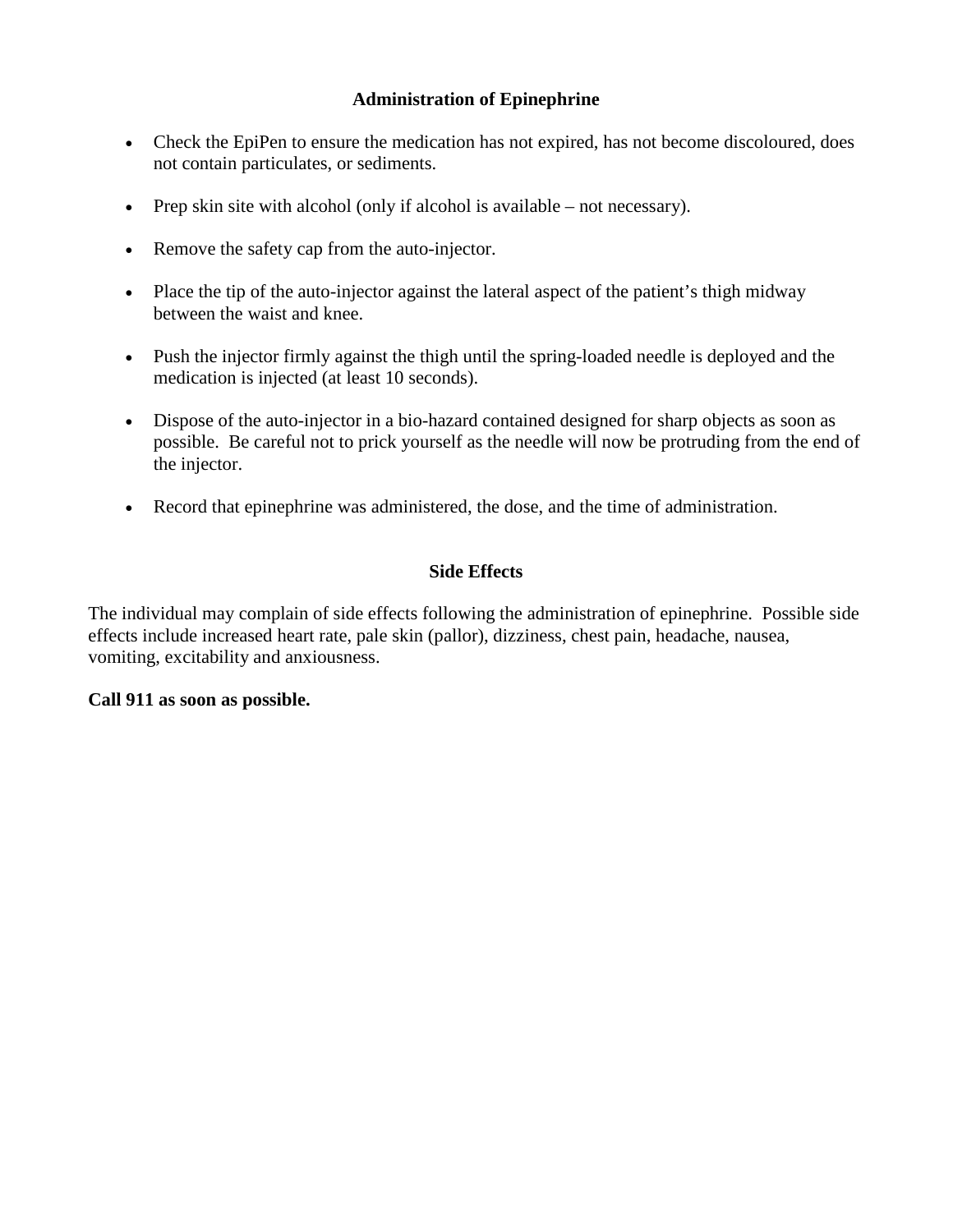## **Administration of Epinephrine**

- Check the EpiPen to ensure the medication has not expired, has not become discoloured, does not contain particulates, or sediments.
- Prep skin site with alcohol (only if alcohol is available not necessary).
- Remove the safety cap from the auto-injector.
- Place the tip of the auto-injector against the lateral aspect of the patient's thigh midway between the waist and knee.
- Push the injector firmly against the thigh until the spring-loaded needle is deployed and the medication is injected (at least 10 seconds).
- Dispose of the auto-injector in a bio-hazard contained designed for sharp objects as soon as possible. Be careful not to prick yourself as the needle will now be protruding from the end of the injector.
- Record that epinephrine was administered, the dose, and the time of administration.

### **Side Effects**

The individual may complain of side effects following the administration of epinephrine. Possible side effects include increased heart rate, pale skin (pallor), dizziness, chest pain, headache, nausea, vomiting, excitability and anxiousness.

#### **Call 911 as soon as possible.**